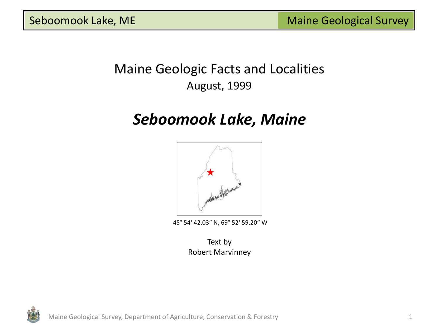## Maine Geologic Facts and Localities August, 1999

# *Seboomook Lake, Maine*



45° 54' 42.03" N, 69° 52' 59.20" W

Text by Robert Marvinney

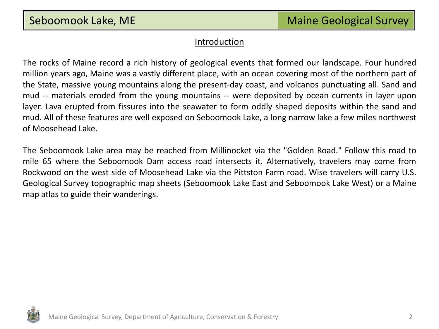#### **Introduction**

The rocks of Maine record a rich history of geological events that formed our landscape. Four hundred million years ago, Maine was a vastly different place, with an ocean covering most of the northern part of the State, massive young mountains along the present-day coast, and volcanos punctuating all. Sand and mud -- materials eroded from the young mountains -- were deposited by ocean currents in layer upon layer. Lava erupted from fissures into the seawater to form oddly shaped deposits within the sand and mud. All of these features are well exposed on Seboomook Lake, a long narrow lake a few miles northwest of Moosehead Lake.

The Seboomook Lake area may be reached from Millinocket via the "Golden Road." Follow this road to mile 65 where the Seboomook Dam access road intersects it. Alternatively, travelers may come from Rockwood on the west side of Moosehead Lake via the Pittston Farm road. Wise travelers will carry U.S. Geological Survey topographic map sheets (Seboomook Lake East and Seboomook Lake West) or a Maine map atlas to guide their wanderings.

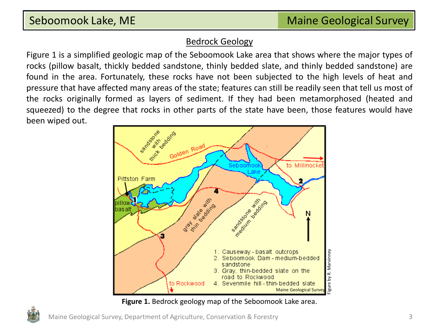### Bedrock Geology

Figure 1 is a simplified geologic map of the Seboomook Lake area that shows where the major types of rocks (pillow basalt, thickly bedded sandstone, thinly bedded slate, and thinly bedded sandstone) are found in the area. Fortunately, these rocks have not been subjected to the high levels of heat and pressure that have affected many areas of the state; features can still be readily seen that tell us most of the rocks originally formed as layers of sediment. If they had been metamorphosed (heated and squeezed) to the degree that rocks in other parts of the state have been, those features would have been wiped out.



**Figure 1.** Bedrock geology map of the Seboomook Lake area.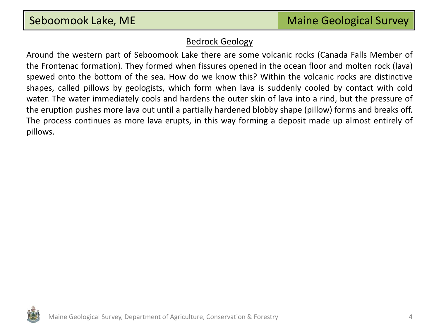#### Bedrock Geology

Around the western part of Seboomook Lake there are some volcanic rocks (Canada Falls Member of the Frontenac formation). They formed when fissures opened in the ocean floor and molten rock (lava) spewed onto the bottom of the sea. How do we know this? Within the volcanic rocks are distinctive shapes, called pillows by geologists, which form when lava is suddenly cooled by contact with cold water. The water immediately cools and hardens the outer skin of lava into a rind, but the pressure of the eruption pushes more lava out until a partially hardened blobby shape (pillow) forms and breaks off. The process continues as more lava erupts, in this way forming a deposit made up almost entirely of pillows.

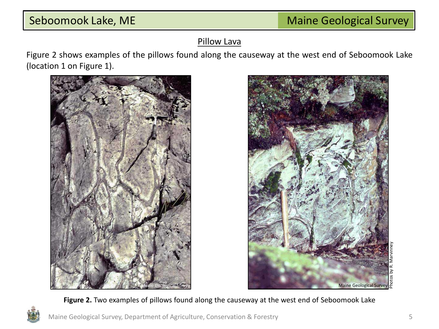### Pillow Lava

Figure 2 shows examples of the pillows found along the causeway at the west end of Seboomook Lake (location 1 on Figure 1).





**Figure 2.** Two examples of pillows found along the causeway at the west end of Seboomook Lake

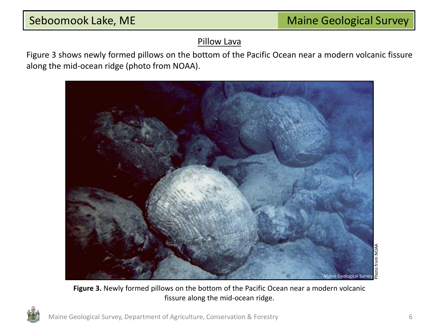### Pillow Lava

Figure 3 shows newly formed pillows on the bottom of the Pacific Ocean near a modern volcanic fissure along the mid-ocean ridge (photo from NOAA).



**Figure 3.** Newly formed pillows on the bottom of the Pacific Ocean near a modern volcanic fissure along the mid-ocean ridge.

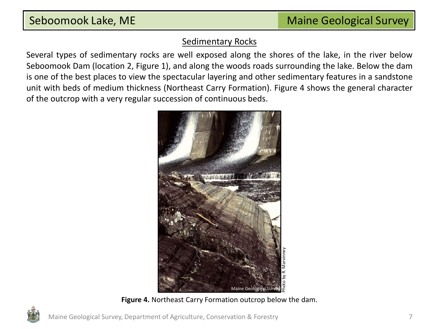### Sedimentary Rocks

Several types of sedimentary rocks are well exposed along the shores of the lake, in the river below Seboomook Dam (location 2, Figure 1), and along the woods roads surrounding the lake. Below the dam is one of the best places to view the spectacular layering and other sedimentary features in a sandstone unit with beds of medium thickness (Northeast Carry Formation). Figure 4 shows the general character of the outcrop with a very regular succession of continuous beds.



**Figure 4.** Northeast Carry Formation outcrop below the dam.

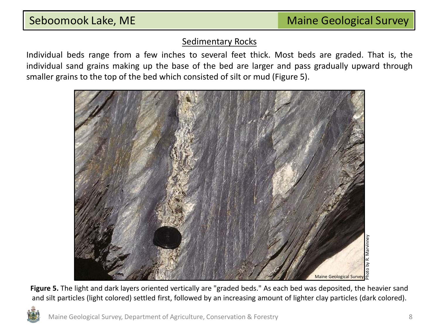#### Sedimentary Rocks

Individual beds range from a few inches to several feet thick. Most beds are graded. That is, the individual sand grains making up the base of the bed are larger and pass gradually upward through smaller grains to the top of the bed which consisted of silt or mud (Figure 5).



**Figure 5.** The light and dark layers oriented vertically are "graded beds." As each bed was deposited, the heavier sand and silt particles (light colored) settled first, followed by an increasing amount of lighter clay particles (dark colored).

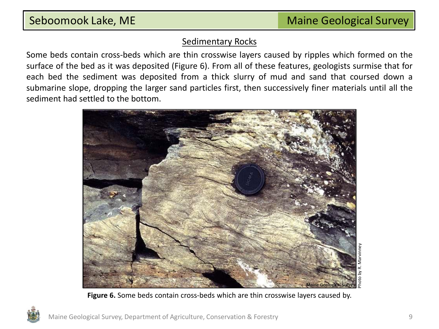#### Sedimentary Rocks

Some beds contain cross-beds which are thin crosswise layers caused by ripples which formed on the surface of the bed as it was deposited (Figure 6). From all of these features, geologists surmise that for each bed the sediment was deposited from a thick slurry of mud and sand that coursed down a submarine slope, dropping the larger sand particles first, then successively finer materials until all the sediment had settled to the bottom.



**Figure 6.** Some beds contain cross-beds which are thin crosswise layers caused by.

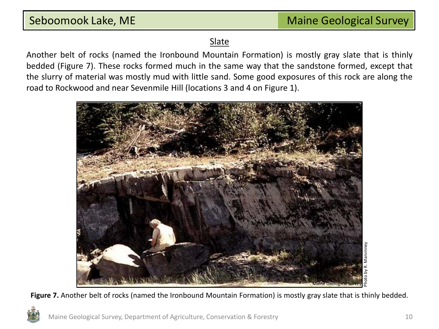### **Slate**

Another belt of rocks (named the Ironbound Mountain Formation) is mostly gray slate that is thinly bedded (Figure 7). These rocks formed much in the same way that the sandstone formed, except that the slurry of material was mostly mud with little sand. Some good exposures of this rock are along the road to Rockwood and near Sevenmile Hill (locations 3 and 4 on Figure 1).



Figure 7. Another belt of rocks (named the Ironbound Mountain Formation) is mostly gray slate that is thinly bedded.